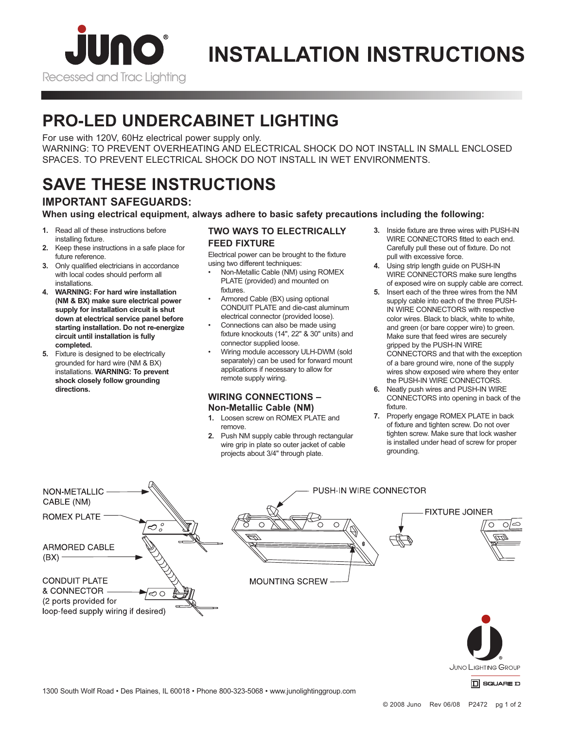

# **INSTALLATION INSTRUCTIONS**

## **PRO-LED UNDERCABINET LIGHTING**

For use with 120V, 60Hz electrical power supply only. WARNING: TO PREVENT OVERHEATING AND ELECTRICAL SHOCK DO NOT INSTALL IN SMALL ENCLOSED SPACES. TO PREVENT ELECTRICAL SHOCK DO NOT INSTALL IN WET ENVIRONMENTS.

## **SAVE THESE INSTRUCTIONS**

## **IMPORTANT SAFEGUARDS:**

**When using electrical equipment, always adhere to basic safety precautions including the following:**

- **1.** Read all of these instructions before installing fixture.
- **2.** Keep these instructions in a safe place for future reference.
- **3.** Only qualified electricians in accordance with local codes should perform all installations.
- **4. WARNING: For hard wire installation (NM & BX) make sure electrical power supply for installation circuit is shut down at electrical service panel before starting installation. Do not re-energize circuit until installation is fully completed.**
- **5.** Fixture is designed to be electrically grounded for hard wire (NM & BX) installations. **WARNING: To prevent shock closely follow grounding directions.**

## **TWO WAYS TO ELECTRICALLY FEED FIXTURE**

Electrical power can be brought to the fixture using two different techniques:

- Non-Metallic Cable (NM) using ROMEX PLATE (provided) and mounted on fixtures.
- Armored Cable (BX) using optional CONDUIT PLATE and die-cast aluminum electrical connector (provided loose).
- Connections can also be made using fixture knockouts (14", 22" & 30" units) and connector supplied loose.
- Wiring module accessory ULH-DWM (sold separately) can be used for forward mount applications if necessary to allow for remote supply wiring.

## **WIRING CONNECTIONS – Non-Metallic Cable (NM)**

- **1.** Loosen screw on ROMEX PLATE and remove.
- **2.** Push NM supply cable through rectangular wire grip in plate so outer jacket of cable projects about 3/4" through plate.
- **3.** Inside fixture are three wires with PUSH-IN WIRE CONNECTORS fitted to each end. Carefully pull these out of fixture. Do not pull with excessive force.
- **4.** Using strip length guide on PUSH-IN WIRE CONNECTORS make sure lengths of exposed wire on supply cable are correct.
- **5.** Insert each of the three wires from the NM supply cable into each of the three PUSH-IN WIRE CONNECTORS with respective color wires. Black to black, white to white, and green (or bare copper wire) to green. Make sure that feed wires are securely gripped by the PUSH-IN WIRE CONNECTORS and that with the exception of a bare ground wire, none of the supply wires show exposed wire where they enter the PUSH-IN WIRE CONNECTORS.
- **6.** Neatly push wires and PUSH-IN WIRE CONNECTORS into opening in back of the fixture.
- **7.** Properly engage ROMEX PLATE in back of fixture and tighten screw. Do not over tighten screw. Make sure that lock washer is installed under head of screw for proper grounding.

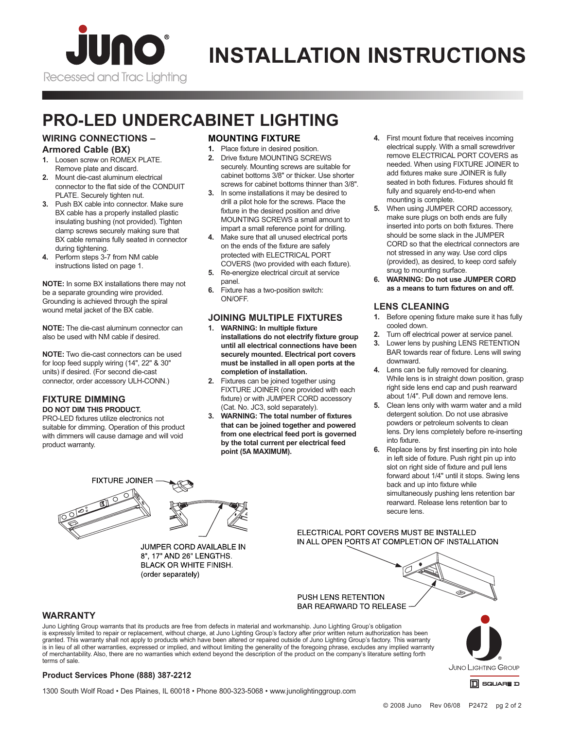

# **INSTALLATION INSTRUCTIONS**

## **PRO-LED UNDERCABINET LIGHTING**

## **WIRING CONNECTIONS – Armored Cable (BX)**

- **1.** Loosen screw on ROMEX PLATE. Remove plate and discard.
- **2.** Mount die-cast aluminum electrical connector to the flat side of the CONDUIT PLATE. Securely tighten nut.
- **3.** Push BX cable into connector. Make sure BX cable has a properly installed plastic insulating bushing (not provided). Tighten clamp screws securely making sure that BX cable remains fully seated in connector during tightening.
- **4.** Perform steps 3-7 from NM cable instructions listed on page 1.

**NOTE:** In some BX installations there may not be a separate grounding wire provided. Grounding is achieved through the spiral wound metal jacket of the BX cable.

**NOTE:** The die-cast aluminum connector can also be used with NM cable if desired.

**NOTE:** Two die-cast connectors can be used for loop feed supply wiring (14", 22" & 30" units) if desired. (For second die-cast connector, order accessory ULH-CONN.)

#### **FIXTURE DIMMING DO NOT DIM THIS PRODUCT.**

PRO-LED fixtures utilize electronics not suitable for dimming. Operation of this product with dimmers will cause damage and will void product warranty.

**Product Services Phone (888) 387-2212**

## **MOUNTING FIXTURE**

- **1.** Place fixture in desired position.
- **2.** Drive fixture MOUNTING SCREWS securely. Mounting screws are suitable for cabinet bottoms 3/8" or thicker. Use shorter screws for cabinet bottoms thinner than 3/8".
- **3.** In some installations it may be desired to drill a pilot hole for the screws. Place the fixture in the desired position and drive MOUNTING SCREWS a small amount to impart a small reference point for drilling.
- **4.** Make sure that all unused electrical ports on the ends of the fixture are safely protected with ELECTRICAL PORT COVERS (two provided with each fixture).
- **5.** Re-energize electrical circuit at service panel.
- **6.** Fixture has a two-position switch: ON/OFF.

## **JOINING MULTIPLE FIXTURES**

- **1. WARNING: In multiple fixture installations do not electrify fixture group until all electrical connections have been securely mounted. Electrical port covers must be installed in all open ports at the completion of installation.**
- **2.** Fixtures can be joined together using FIXTURE JOINER (one provided with each fixture) or with JUMPER CORD accessory (Cat. No. JC3, sold separately).
- **3. WARNING: The total number of fixtures that can be joined together and powered from one electrical feed port is governed by the total current per electrical feed point (5A MAXIMUM).**
- **4.** First mount fixture that receives incoming electrical supply. With a small screwdriver remove ELECTRICAL PORT COVERS as needed. When using FIXTURE JOINER to add fixtures make sure JOINER is fully seated in both fixtures. Fixtures should fit fully and squarely end-to-end when mounting is complete.
- **5.** When using JUMPER CORD accessory, make sure plugs on both ends are fully inserted into ports on both fixtures. There should be some slack in the JUMPER CORD so that the electrical connectors are not stressed in any way. Use cord clips (provided), as desired, to keep cord safely snug to mounting surface.
- **6. WARNING: Do not use JUMPER CORD as a means to turn fixtures on and off.**

## **LENS CLEANING**

- **1.** Before opening fixture make sure it has fully cooled down.
- **2.** Turn off electrical power at service panel.
- **3.** Lower lens by pushing LENS RETENTION BAR towards rear of fixture. Lens will swing downward.
- **4.** Lens can be fully removed for cleaning. While lens is in straight down position, grasp right side lens end cap and push rearward about 1/4". Pull down and remove lens.
- **5.** Clean lens only with warm water and a mild detergent solution. Do not use abrasive powders or petroleum solvents to clean lens. Dry lens completely before re-inserting into fixture.
- **6.** Replace lens by first inserting pin into hole in left side of fixture. Push right pin up into slot on right side of fixture and pull lens forward about 1/4" until it stops. Swing lens back and up into fixture while simultaneously pushing lens retention bar rearward. Release lens retention bar to secure lens.

# **FIXTURE JOINER**

JUMPER CORD AVAILABLE IN 8", 17" AND 26" LENGTHS. BLACK OR WHITE FINISH. (order separately)

#### ELECTRICAL PORT COVERS MUST BE INSTALLED IN ALL OPEN PORTS AT COMPLETION OF INSTALLATION



## **WARRANTY**

Juno Lighting Group warrants that its products are free from defects in material and workmanship. Juno Lighting Group's obligation is expressly limited to repair or replacement, without charge, at Juno Lighting Group's factory after prior written return authorization has been granted. This warranty shall not apply to products which have been altered or repaired outside of Juno Lighting Group's factory. This warranty is in lieu of all other warranties, expressed or implied, and without limiting the generality of the foregoing phrase, excludes any implied warranty<br>of merchantability. Also, there are no warranties which extend beyond the terms of sale.



JUNO LIGHTING GROUP

 $\boxed{\Box}$  SQUARE  $D$ 

1300 South Wolf Road • Des Plaines, IL 60018 • Phone 800-323-5068 • www.junolightinggroup.com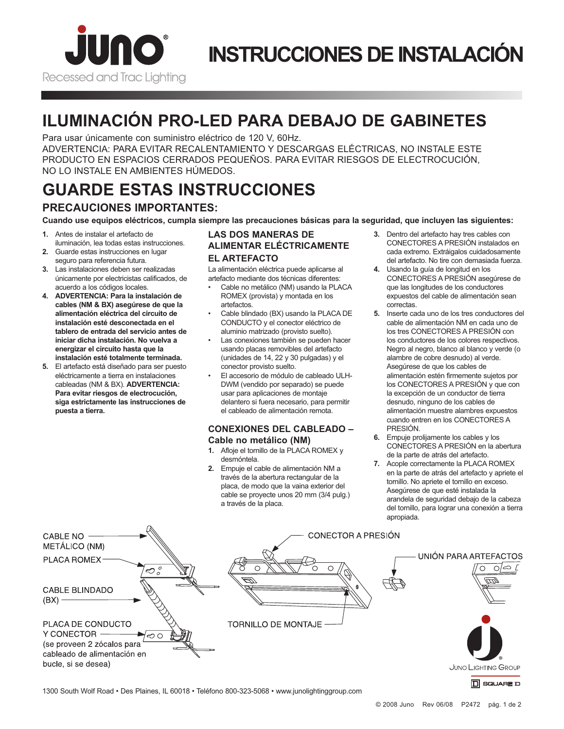

# **INSTRUCCIONES DE INSTALACIÓN**

## **ILUMINACIÓN PRO-LED PARA DEBAJO DE GABINETES**

Para usar únicamente con suministro eléctrico de 120 V, 60Hz.

ADVERTENCIA: PARA EVITAR RECALENTAMIENTO Y DESCARGAS ELÉCTRICAS, NO INSTALE ESTE PRODUCTO EN ESPACIOS CERRADOS PEQUEÑOS. PARA EVITAR RIESGOS DE ELECTROCUCIÓN, NO LO INSTALE EN AMBIENTES HÚMEDOS.

# **GUARDE ESTAS INSTRUCCIONES**

## **PRECAUCIONES IMPORTANTES:**

**Cuando use equipos eléctricos, cumpla siempre las precauciones básicas para la seguridad, que incluyen las siguientes:**

- **1.** Antes de instalar el artefacto de iluminación, lea todas estas instrucciones.
- **2.** Guarde estas instrucciones en lugar seguro para referencia futura.
- **3.** Las instalaciones deben ser realizadas únicamente por electricistas calificados, de acuerdo a los códigos locales.
- **4. ADVERTENCIA: Para la instalación de cables (NM & BX) asegúrese de que la alimentación eléctrica del circuito de instalación esté desconectada en el tablero de entrada del servicio antes de iniciar dicha instalación. No vuelva a energizar el circuito hasta que la instalación esté totalmente terminada.**
- **5.** El artefacto está diseñado para ser puesto eléctricamente a tierra en instalaciones cableadas (NM & BX). **ADVERTENCIA: Para evitar riesgos de electrocución, siga estrictamente las instrucciones de puesta a tierra.**

## **LAS DOS MANERAS DE ALIMENTAR ELÉCTRICAMENTE EL ARTEFACTO**

La alimentación eléctrica puede aplicarse al artefacto mediante dos técnicas diferentes:

- Cable no metálico (NM) usando la PLACA ROMEX (provista) y montada en los artefactos.
- Cable blindado (BX) usando la PLACA DE CONDUCTO y el conector eléctrico de aluminio matrizado (provisto suelto).
- Las conexiones también se pueden hacer usando placas removibles del artefacto (unidades de 14, 22 y 30 pulgadas) y el conector provisto suelto.
- El accesorio de módulo de cableado ULH-DWM (vendido por separado) se puede usar para aplicaciones de montaje delantero si fuera necesario, para permitir el cableado de alimentación remota.

## **CONEXIONES DEL CABLEADO – Cable no metálico (NM)**

- **1.** Afloje el tornillo de la PLACA ROMEX y desmóntela.
- **2.** Empuje el cable de alimentación NM a través de la abertura rectangular de la placa, de modo que la vaina exterior del cable se proyecte unos 20 mm (3/4 pulg.) a través de la placa.
- **3.** Dentro del artefacto hay tres cables con CONECTORES A PRESIÓN instalados en cada extremo. Extráigalos cuidadosamente del artefacto. No tire con demasiada fuerza.
- **4.** Usando la guía de longitud en los CONECTORES A PRESIÓN asegúrese de que las longitudes de los conductores expuestos del cable de alimentación sean correctas.
- **5.** Inserte cada uno de los tres conductores del cable de alimentación NM en cada uno de los tres CONECTORES A PRESIÓN con los conductores de los colores respectivos. Negro al negro, blanco al blanco y verde (o alambre de cobre desnudo) al verde. Asegúrese de que los cables de alimentación estén firmemente sujetos por los CONECTORES A PRESIÓN y que con la excepción de un conductor de tierra desnudo, ninguno de los cables de alimentación muestre alambres expuestos cuando entren en los CONECTORES A PRESIÓN.
- **6.** Empuje prolijamente los cables y los CONECTORES A PRESIÓN en la abertura de la parte de atrás del artefacto.
- **7.** Acople correctamente la PLACA ROMEX en la parte de atrás del artefacto y apriete el tornillo. No apriete el tornillo en exceso. Asegúrese de que esté instalada la arandela de seguridad debajo de la cabeza del tornillo, para lograr una conexión a tierra apropiada.

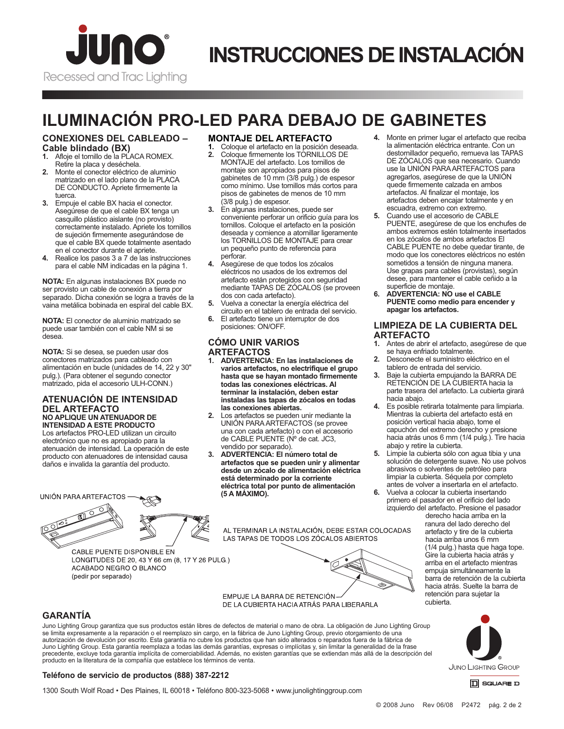

# **INSTRUCCIONES DE INSTALACIÓN**

## **ILUMINACIÓN PRO-LED PARA DEBAJO DE GABINETES**

## **CONEXIONES DEL CABLEADO –**

- **Cable blindado (BX)**<br>1 Afloje el tomillo de la PL **1.** Afloje el tornillo de la PLACA ROMEX. Retire la placa y deséchela.
- **2.** Monte el conector eléctrico de aluminio matrizado en el lado plano de la PLACA DE CONDUCTO. Apriete firmemente la tuerca.
- **3.** Empuje el cable BX hacia el conector. Asegúrese de que el cable BX tenga un casquillo plástico aislante (no provisto) correctamente instalado. Apriete los tornillos de sujeción firmemente asegurándose de que el cable BX quede totalmente asentado en el conector durante el apriete.
- **4.** Realice los pasos 3 a 7 de las instrucciones para el cable NM indicadas en la página 1.

**NOTA:** En algunas instalaciones BX puede no ser provisto un cable de conexión a tierra por separado. Dicha conexión se logra a través de la vaina metálica bobinada en espiral del cable BX.

**NOTA:** El conector de aluminio matrizado se puede usar también con el cable NM si se desea.

**NOTA:** Si se desea, se pueden usar dos conectores matrizados para cableado con alimentación en bucle (unidades de 14, 22 y 30" pulg.). (Para obtener el segundo conector matrizado, pida el accesorio ULH-CONN.)

#### **ATENUACIÓN DE INTENSIDAD DEL ARTEFACTO NO APLIQUE UN ATENUADOR DE INTENSIDAD A ESTE PRODUCTO**

Los artefactos PRO-LED utilizan un circuito electrónico que no es apropiado para la atenuación de intensidad. La operación de este producto con atenuadores de intensidad causa daños e invalida la garantía del producto.

## UNIÓN PARA ARTEFACTOS X

**GARANTÍA**



CABLE PUENTE DISPONIBLE EN LONGITUDES DE 20, 43 Y 66 cm (8, 17 Y 26 PULG.) ACABADO NEGRO O BLANCO (pedir por separado)

## **MONTAJE DEL ARTEFACTO**

- **1.** Coloque el artefacto en la posición deseada. **2.** Coloque firmemente los TORNILLOS DE MONTAJE del artefacto. Los tornillos de montaje son apropiados para pisos de gabinetes de 10 mm (3/8 pulg.) de espesor como mínimo. Use tornillos más cortos para pisos de gabinetes de menos de 10 mm (3/8 pulg.) de espesor.
- **3.** En algunas instalaciones, puede ser conveniente perforar un orificio guía para los tornillos. Coloque el artefacto en la posición deseada y comience a atornillar ligeramente los TORNILLOS DE MONTAJE para crear un pequeño punto de referencia para perforar.
- **4.** Asegúrese de que todos los zócalos eléctricos no usados de los extremos del artefacto están protegidos con seguridad mediante TAPAS DE ZÓCALOS (se proveen dos con cada artefacto).
- **5.** Vuelva a conectar la energía eléctrica del circuito en el tablero de entrada del servicio.
- **6.** El artefacto tiene un interruptor de dos posiciones: ON/OFF.

## **CÓMO UNIR VARIOS ARTEFACTOS**

- **1. ADVERTENCIA: En las instalaciones de varios artefactos, no electrifique el grupo hasta que se hayan montado firmemente todas las conexiones eléctricas. Al terminar la instalación, deben estar instaladas las tapas de zócalos en todas las conexiones abiertas.**
- **2.** Los artefactos se pueden unir mediante la UNIÓN PARA ARTEFACTOS (se provee una con cada artefacto) o con el accesorio de CABLE PUENTE (Nº de cat. JC3, vendido por separado).
- **3. ADVERTENCIA: El número total de artefactos que se pueden unir y alimentar desde un zócalo de alimentación eléctrica está determinado por la corriente eléctrica total por punto de alimentación (5 A MÁXIMO).**

AL TERMINAR LA INSTALACIÓN, DEBE ESTAR COLOCADAS LAS TAPAS DE TODOS LOS ZÓCALOS ABIERTOS

**4.** Monte en primer lugar el artefacto que reciba la alimentación eléctrica entrante. Con un destornillador pequeño, remueva las TAPAS DE ZÓCALOS que sea necesario. Cuando use la UNIÓN PARA ARTEFACTOS para agregarlos, asegúrese de que la UNIÓN quede firmemente calzada en ambos artefactos. Al finalizar el montaje, los artefactos deben encajar totalmente y en escuadra, extremo con extremo.

- **5.** Cuando use el accesorio de CABLE PUENTE, asegúrese de que los enchufes de ambos extremos estén totalmente insertados en los zócalos de ambos artefactos El CABLE PUENTE no debe quedar tirante, de modo que los conectores eléctricos no estén sometidos a tensión de ninguna manera. Use grapas para cables (provistas), según desee, para mantener el cable ceñido a la superficie de montaje.
- **6. ADVERTENCIA: NO use el CABLE PUENTE como medio para encender y apagar los artefactos.**

#### **LIMPIEZA DE LA CUBIERTA DEL ARTEFACTO**

- **1.** Antes de abrir el artefacto, asegúrese de que se haya enfriado totalmente.
- **2.** Desconecte el suministro eléctrico en el tablero de entrada del servicio.
- **3.** Baje la cubierta empujando la BARRA DE RETENCIÓN DE LA CUBIERTA hacia la parte trasera del artefacto. La cubierta girará hacia abajo.
- **4.** Es posible retirarla totalmente para limpiarla. Mientras la cubierta del artefacto está en posición vertical hacia abajo, tome el capuchón del extremo derecho y presione hacia atrás unos 6 mm (1/4 pulg.). Tire hacia abajo y retire la cubierta.
- **5.** Limpie la cubierta sólo con agua tibia y una solución de detergente suave. No use polvos abrasivos o solventes de petróleo para limpiar la cubierta. Séquela por completo antes de volver a insertarla en el artefacto.
- **6.** Vuelva a colocar la cubierta insertando primero el pasador en el orificio del lado izquierdo del artefacto. Presione el pasador

derecho hacia arriba en la ranura del lado derecho del artefacto y tire de la cubierta hacia arriba unos 6 mm (1/4 pulg.) hasta que haga tope. Gire la cubierta hacia atrás y arriba en el artefacto mientras empuja simultáneamente la barra de retención de la cubierta hacia atrás. Suelte la barra de retención para sujetar la cubierta.



**JUNO LIGHTING GROUP** 

 $\boxed{\Box}$  SQUARE  $\Box$ 

**Teléfono de servicio de productos (888) 387-2212**

producto en la literatura de la compañía que establece los términos de venta.

1300 South Wolf Road • Des Plaines, IL 60018 • Teléfono 800-323-5068 • www.junolightinggroup.com

Juno Lighting Group garantiza que sus productos están libres de defectos de material o mano de obra. La obligación de Juno Lighting Group se limita expresamente a la reparación o el reemplazo sin cargo, en la fábrica de Juno Lighting Group, previo otorgamiento de una<br>autorización de devolución por escrito. Esta garantía no cubre los productos que han sido al Juno Lighting Group. Esta garantía reemplaza a todas las demás garantías, expresas o implícitas y, sin limitar la generalidad de la frase precedente, excluye toda garantía implícita de comerciabilidad. Además, no existen garantías que se extiendan más allá de la descripción del

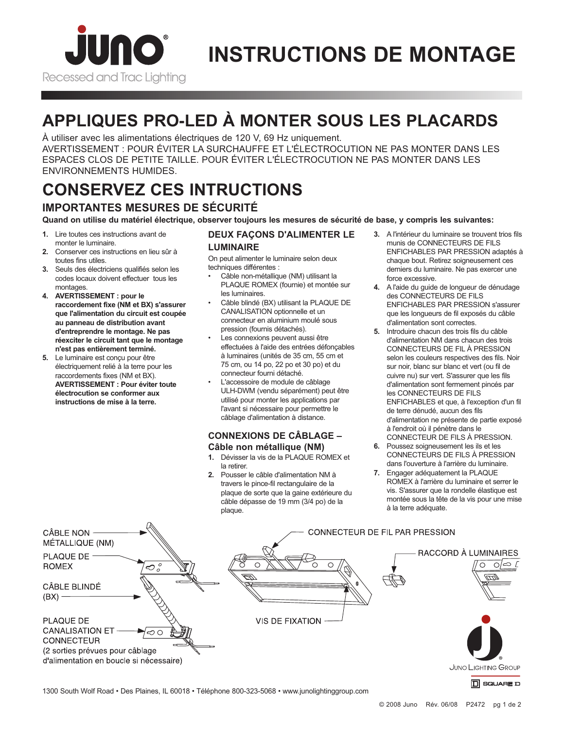

# **INSTRUCTIONS DE MONTAGE**

## **APPLIQUES PRO-LED À MONTER SOUS LES PLACARDS**

À utiliser avec les alimentations électriques de 120 V, 69 Hz uniquement. AVERTISSEMENT : POUR ÉVITER LA SURCHAUFFE ET L'ÉLECTROCUTION NE PAS MONTER DANS LES ESPACES CLOS DE PETITE TAILLE. POUR ÉVITER L'ÉLECTROCUTION NE PAS MONTER DANS LES ENVIRONNEMENTS HUMIDES.

# **CONSERVEZ CES INTRUCTIONS**

## **IMPORTANTES MESURES DE SÉCURITÉ**

**Quand on utilise du matériel électrique, observer toujours les mesures de sécurité de base, y compris les suivantes:** 

- **1.** Lire toutes ces instructions avant de monter le luminaire.
- **2.** Conserver ces instructions en lieu sûr à toutes fins utiles.
- **3.** Seuls des électriciens qualifiés selon les codes locaux doivent effectuer tous les montages.
- **4. AVERTISSEMENT : pour le raccordement fixe (NM et BX) s'assurer que l'alimentation du circuit est coupée au panneau de distribution avant d'entreprendre le montage. Ne pas réexciter le circuit tant que le montage n'est pas entièrement terminé.**
- **5.** Le luminaire est concu pour être électriquement relié à la terre pour les raccordements fixes (NM et BX). **AVERTISSEMENT : Pour éviter toute électrocution se conformer aux instructions de mise à la terre.**

## **DEUX FAÇONS D'ALIMENTER LE LUMINAIRE**

On peut alimenter le luminaire selon deux techniques différentes :

- Câble non-métallique (NM) utilisant la PLAQUE ROMEX (fournie) et montée sur les luminaires.
- Câble blindé (BX) utilisant la PLAQUE DE CANALISATION optionnelle et un connecteur en aluminium moulé sous pression (fournis détachés).
- Les connexions peuvent aussi être effectuées à l'aide des entrées défonçables à luminaires (unités de 35 cm, 55 cm et 75 cm, ou 14 po, 22 po et 30 po) et du connecteur fourni détaché.
- L'accessoire de module de câblage ULH-DWM (vendu séparément) peut être utilisé pour monter les applications par l'avant si nécessaire pour permettre le câblage d'alimentation à distance.

## **CONNEXIONS DE CÂBLAGE – Câble non métallique (NM)**

- **1.** Dévisser la vis de la PLAQUE ROMEX et la retirer.
- **2.** Pousser le câble d'alimentation NM à travers le pince-fil rectangulaire de la plaque de sorte que la gaine extérieure du câble dépasse de 19 mm (3/4 po) de la plaque.
- **3.** A l'intérieur du luminaire se trouvent trios fils munis de CONNECTEURS DE FILS ENFICHABLES PAR PRESSION adaptés à chaque bout. Retirez soigneusement ces derniers du luminaire. Ne pas exercer une force excessive.
- **4.** A l'aide du guide de longueur de dénudage des CONNECTEURS DE FILS ENFICHABLES PAR PRESSION s'assurer que les longueurs de fil exposés du câble d'alimentation sont correctes.
- **5.** Introduire chacun des trois fils du câble d'alimentation NM dans chacun des trois CONNECTEURS DE FIL À PRESSION selon les couleurs respectives des fils. Noir sur noir, blanc sur blanc et vert (ou fil de cuivre nu) sur vert. S'assurer que les fils d'alimentation sont fermement pincés par les CONNECTEURS DE FILS ENFICHABLES et que, à l'exception d'un fil de terre dénudé, aucun des fils d'alimentation ne présente de partie exposé à l'endroit où il pénètre dans le CONNECTEUR DE FILS À PRESSION.
- **6.** Poussez soigneusement les ils et les CONNECTEURS DE FILS À PRESSION dans l'ouverture à l'arrière du luminaire.
- **7.** Engager adéquatement la PLAQUE ROMEX à l'arrière du luminaire et serrer le vis. S'assurer que la rondelle élastique est montée sous la tête de la vis pour une mise à la terre adéquate.